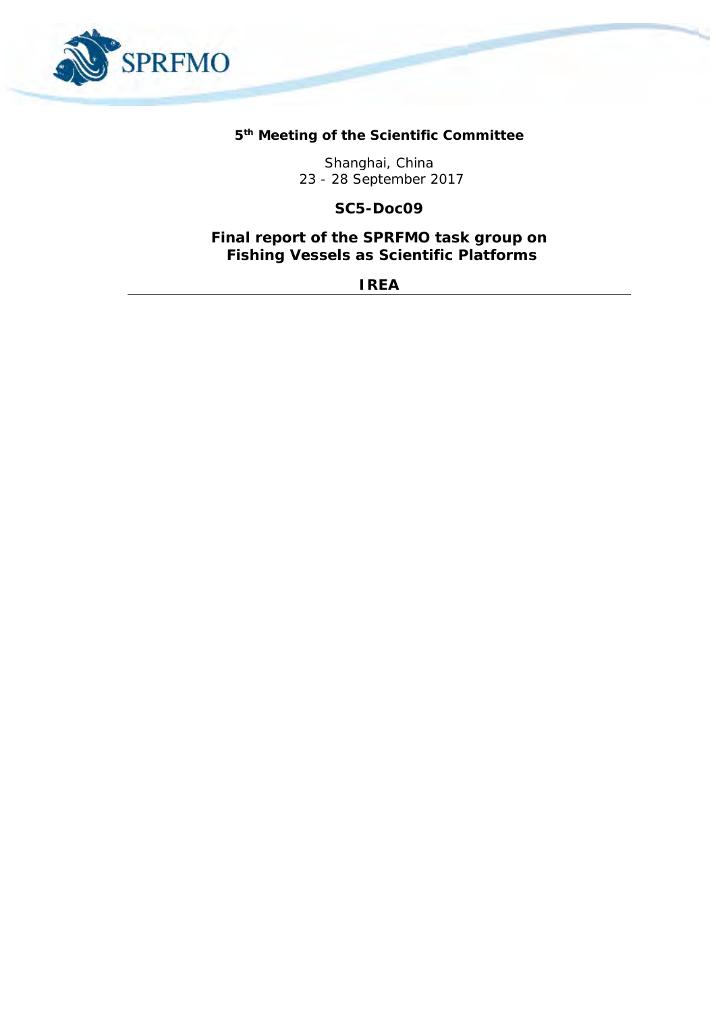

**5 th Meeting of the Scientific Committee** 

Shanghai, China 23 - 28 September 2017

**SC5-Doc09**

**Final report of the SPRFMO task group on Fishing Vessels as Scientific Platforms**

*IREA*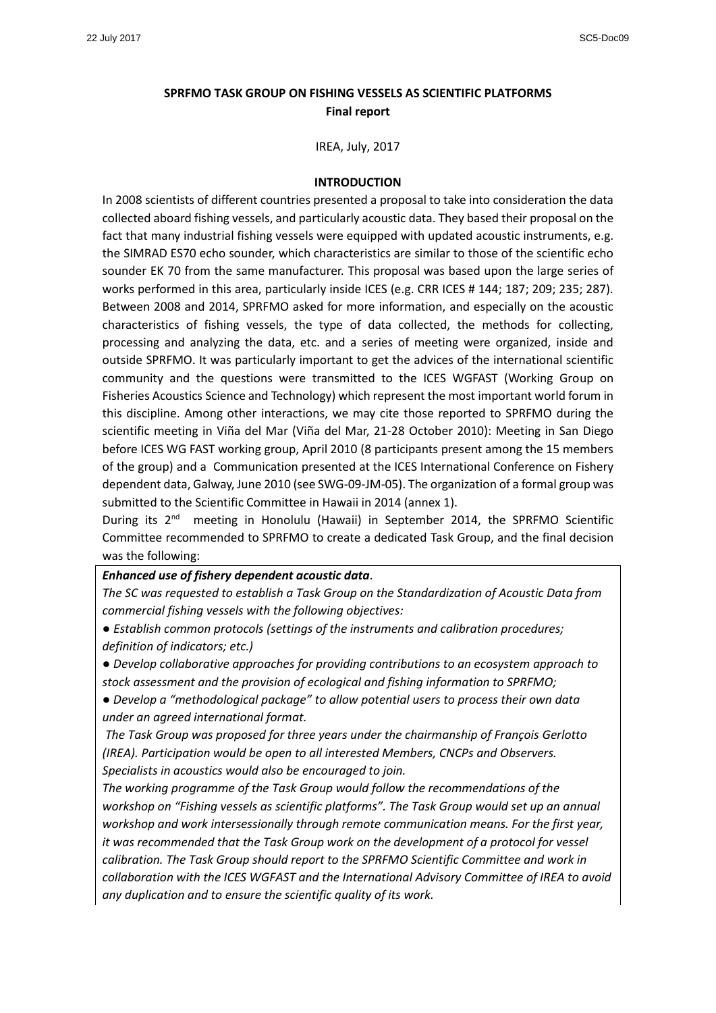## **SPRFMO TASK GROUP ON FISHING VESSELS AS SCIENTIFIC PLATFORMS Final report**

IREA, July, 2017

#### **INTRODUCTION**

In 2008 scientists of different countries presented a proposal to take into consideration the data collected aboard fishing vessels, and particularly acoustic data. They based their proposal on the fact that many industrial fishing vessels were equipped with updated acoustic instruments, e.g. the SIMRAD ES70 echo sounder, which characteristics are similar to those of the scientific echo sounder EK 70 from the same manufacturer. This proposal was based upon the large series of works performed in this area, particularly inside ICES (e.g. CRR ICES # 144; 187; 209; 235; 287). Between 2008 and 2014, SPRFMO asked for more information, and especially on the acoustic characteristics of fishing vessels, the type of data collected, the methods for collecting, processing and analyzing the data, etc. and a series of meeting were organized, inside and outside SPRFMO. It was particularly important to get the advices of the international scientific community and the questions were transmitted to the ICES WGFAST (Working Group on Fisheries Acoustics Science and Technology) which represent the most important world forum in this discipline. Among other interactions, we may cite those reported to SPRFMO during the scientific meeting in Viña del Mar (Viña del Mar, 21-28 October 2010): Meeting in San Diego before ICES WG FAST working group, April 2010 (8 participants present among the 15 members of the group) and a Communication presented at the ICES International Conference on Fishery dependent data, Galway, June 2010 (see SWG-09-JM-05). The organization of a formal group was submitted to the Scientific Committee in Hawaii in 2014 (annex 1).

During its 2<sup>nd</sup> meeting in Honolulu (Hawaii) in September 2014, the SPRFMO Scientific Committee recommended to SPRFMO to create a dedicated Task Group, and the final decision was the following:

### *Enhanced use of fishery dependent acoustic data.*

*The SC was requested to establish a Task Group on the Standardization of Acoustic Data from commercial fishing vessels with the following objectives:*

- *Establish common protocols (settings of the instruments and calibration procedures; definition of indicators; etc.)*
- *Develop collaborative approaches for providing contributions to an ecosystem approach to stock assessment and the provision of ecological and fishing information to SPRFMO;*

*● Develop a "methodological package" to allow potential users to process their own data under an agreed international format.*

*The Task Group was proposed for three years under the chairmanship of François Gerlotto (IREA). Participation would be open to all interested Members, CNCPs and Observers. Specialists in acoustics would also be encouraged to join.*

*The working programme of the Task Group would follow the recommendations of the workshop on "Fishing vessels as scientific platforms". The Task Group would set up an annual workshop and work intersessionally through remote communication means. For the first year, it was recommended that the Task Group work on the development of a protocol for vessel calibration. The Task Group should report to the SPRFMO Scientific Committee and work in collaboration with the ICES WGFAST and the International Advisory Committee of IREA to avoid any duplication and to ensure the scientific quality of its work.*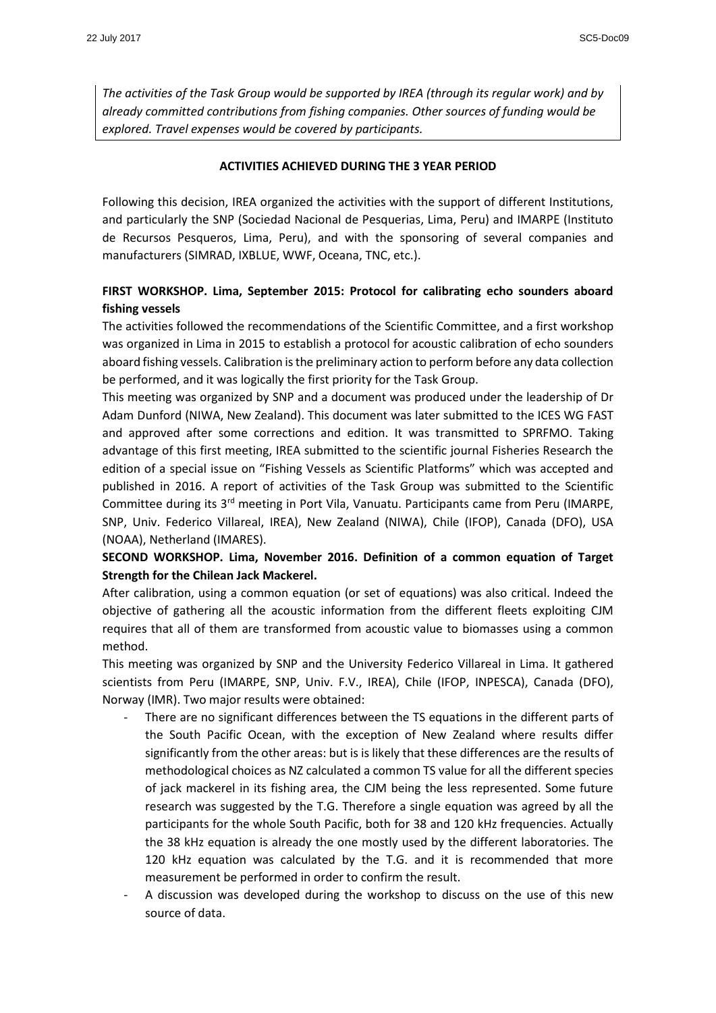*The activities of the Task Group would be supported by IREA (through its regular work) and by already committed contributions from fishing companies. Other sources of funding would be explored. Travel expenses would be covered by participants.*

### **ACTIVITIES ACHIEVED DURING THE 3 YEAR PERIOD**

Following this decision, IREA organized the activities with the support of different Institutions, and particularly the SNP (Sociedad Nacional de Pesquerias, Lima, Peru) and IMARPE (Instituto de Recursos Pesqueros, Lima, Peru), and with the sponsoring of several companies and manufacturers (SIMRAD, IXBLUE, WWF, Oceana, TNC, etc.).

# **FIRST WORKSHOP. Lima, September 2015: Protocol for calibrating echo sounders aboard fishing vessels**

The activities followed the recommendations of the Scientific Committee, and a first workshop was organized in Lima in 2015 to establish a protocol for acoustic calibration of echo sounders aboard fishing vessels. Calibration is the preliminary action to perform before any data collection be performed, and it was logically the first priority for the Task Group.

This meeting was organized by SNP and a document was produced under the leadership of Dr Adam Dunford (NIWA, New Zealand). This document was later submitted to the ICES WG FAST and approved after some corrections and edition. It was transmitted to SPRFMO. Taking advantage of this first meeting, IREA submitted to the scientific journal Fisheries Research the edition of a special issue on "Fishing Vessels as Scientific Platforms" which was accepted and published in 2016. A report of activities of the Task Group was submitted to the Scientific Committee during its 3rd meeting in Port Vila, Vanuatu. Participants came from Peru (IMARPE, SNP, Univ. Federico Villareal, IREA), New Zealand (NIWA), Chile (IFOP), Canada (DFO), USA (NOAA), Netherland (IMARES).

# **SECOND WORKSHOP. Lima, November 2016. Definition of a common equation of Target Strength for the Chilean Jack Mackerel.**

After calibration, using a common equation (or set of equations) was also critical. Indeed the objective of gathering all the acoustic information from the different fleets exploiting CJM requires that all of them are transformed from acoustic value to biomasses using a common method.

This meeting was organized by SNP and the University Federico Villareal in Lima. It gathered scientists from Peru (IMARPE, SNP, Univ. F.V., IREA), Chile (IFOP, INPESCA), Canada (DFO), Norway (IMR). Two major results were obtained:

- There are no significant differences between the TS equations in the different parts of the South Pacific Ocean, with the exception of New Zealand where results differ significantly from the other areas: but is is likely that these differences are the results of methodological choices as NZ calculated a common TS value for all the different species of jack mackerel in its fishing area, the CJM being the less represented. Some future research was suggested by the T.G. Therefore a single equation was agreed by all the participants for the whole South Pacific, both for 38 and 120 kHz frequencies. Actually the 38 kHz equation is already the one mostly used by the different laboratories. The 120 kHz equation was calculated by the T.G. and it is recommended that more measurement be performed in order to confirm the result.
- A discussion was developed during the workshop to discuss on the use of this new source of data.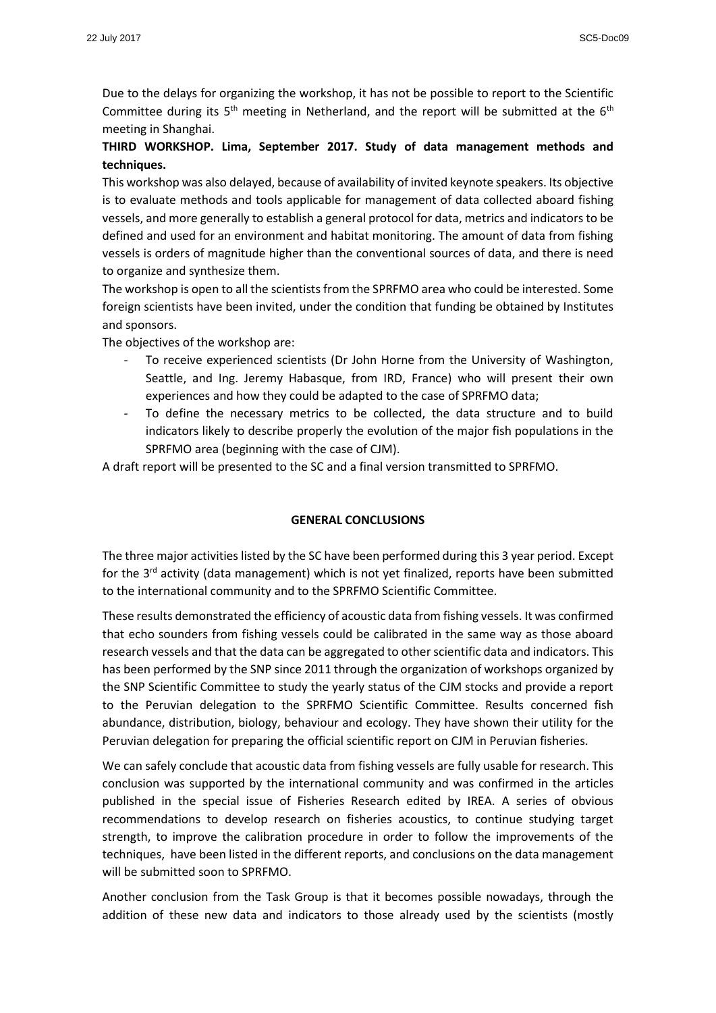Due to the delays for organizing the workshop, it has not be possible to report to the Scientific Committee during its  $5<sup>th</sup>$  meeting in Netherland, and the report will be submitted at the  $6<sup>th</sup>$ meeting in Shanghai.

# **THIRD WORKSHOP. Lima, September 2017. Study of data management methods and techniques.**

This workshop was also delayed, because of availability of invited keynote speakers. Its objective is to evaluate methods and tools applicable for management of data collected aboard fishing vessels, and more generally to establish a general protocol for data, metrics and indicators to be defined and used for an environment and habitat monitoring. The amount of data from fishing vessels is orders of magnitude higher than the conventional sources of data, and there is need to organize and synthesize them.

The workshop is open to all the scientists from the SPRFMO area who could be interested. Some foreign scientists have been invited, under the condition that funding be obtained by Institutes and sponsors.

The objectives of the workshop are:

- To receive experienced scientists (Dr John Horne from the University of Washington, Seattle, and Ing. Jeremy Habasque, from IRD, France) who will present their own experiences and how they could be adapted to the case of SPRFMO data;
- To define the necessary metrics to be collected, the data structure and to build indicators likely to describe properly the evolution of the major fish populations in the SPRFMO area (beginning with the case of CJM).

A draft report will be presented to the SC and a final version transmitted to SPRFMO.

### **GENERAL CONCLUSIONS**

The three major activities listed by the SC have been performed during this 3 year period. Except for the 3<sup>rd</sup> activity (data management) which is not yet finalized, reports have been submitted to the international community and to the SPRFMO Scientific Committee.

These results demonstrated the efficiency of acoustic data from fishing vessels. It was confirmed that echo sounders from fishing vessels could be calibrated in the same way as those aboard research vessels and that the data can be aggregated to other scientific data and indicators. This has been performed by the SNP since 2011 through the organization of workshops organized by the SNP Scientific Committee to study the yearly status of the CJM stocks and provide a report to the Peruvian delegation to the SPRFMO Scientific Committee. Results concerned fish abundance, distribution, biology, behaviour and ecology. They have shown their utility for the Peruvian delegation for preparing the official scientific report on CJM in Peruvian fisheries.

We can safely conclude that acoustic data from fishing vessels are fully usable for research. This conclusion was supported by the international community and was confirmed in the articles published in the special issue of Fisheries Research edited by IREA. A series of obvious recommendations to develop research on fisheries acoustics, to continue studying target strength, to improve the calibration procedure in order to follow the improvements of the techniques, have been listed in the different reports, and conclusions on the data management will be submitted soon to SPRFMO.

Another conclusion from the Task Group is that it becomes possible nowadays, through the addition of these new data and indicators to those already used by the scientists (mostly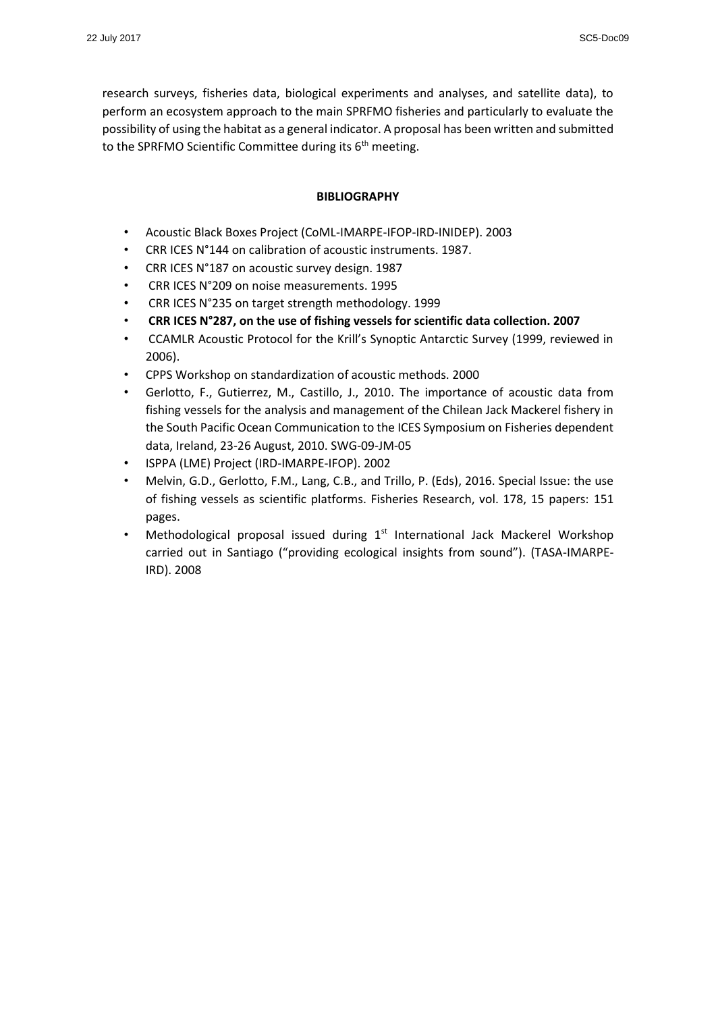research surveys, fisheries data, biological experiments and analyses, and satellite data), to perform an ecosystem approach to the main SPRFMO fisheries and particularly to evaluate the possibility of using the habitat as a general indicator. A proposal has been written and submitted to the SPRFMO Scientific Committee during its  $6<sup>th</sup>$  meeting.

## **BIBLIOGRAPHY**

- Acoustic Black Boxes Project (CoML-IMARPE-IFOP-IRD-INIDEP). 2003
- CRR ICES N°144 on calibration of acoustic instruments. 1987.
- CRR ICES N°187 on acoustic survey design. 1987
- CRR ICES N°209 on noise measurements. 1995
- CRR ICES N°235 on target strength methodology. 1999
- **CRR ICES N°287, on the use of fishing vessels for scientific data collection. 2007**
- CCAMLR Acoustic Protocol for the Krill's Synoptic Antarctic Survey (1999, reviewed in 2006).
- CPPS Workshop on standardization of acoustic methods. 2000
- Gerlotto, F., Gutierrez, M., Castillo, J., 2010. The importance of acoustic data from fishing vessels for the analysis and management of the Chilean Jack Mackerel fishery in the South Pacific Ocean Communication to the ICES Symposium on Fisheries dependent data, Ireland, 23-26 August, 2010. SWG-09-JM-05
- ISPPA (LME) Project (IRD-IMARPE-IFOP). 2002
- Melvin, G.D., Gerlotto, F.M., Lang, C.B., and Trillo, P. (Eds), 2016. Special Issue: the use of fishing vessels as scientific platforms. Fisheries Research, vol. 178, 15 papers: 151 pages.
- Methodological proposal issued during 1<sup>st</sup> International Jack Mackerel Workshop carried out in Santiago ("providing ecological insights from sound"). (TASA-IMARPE-IRD). 2008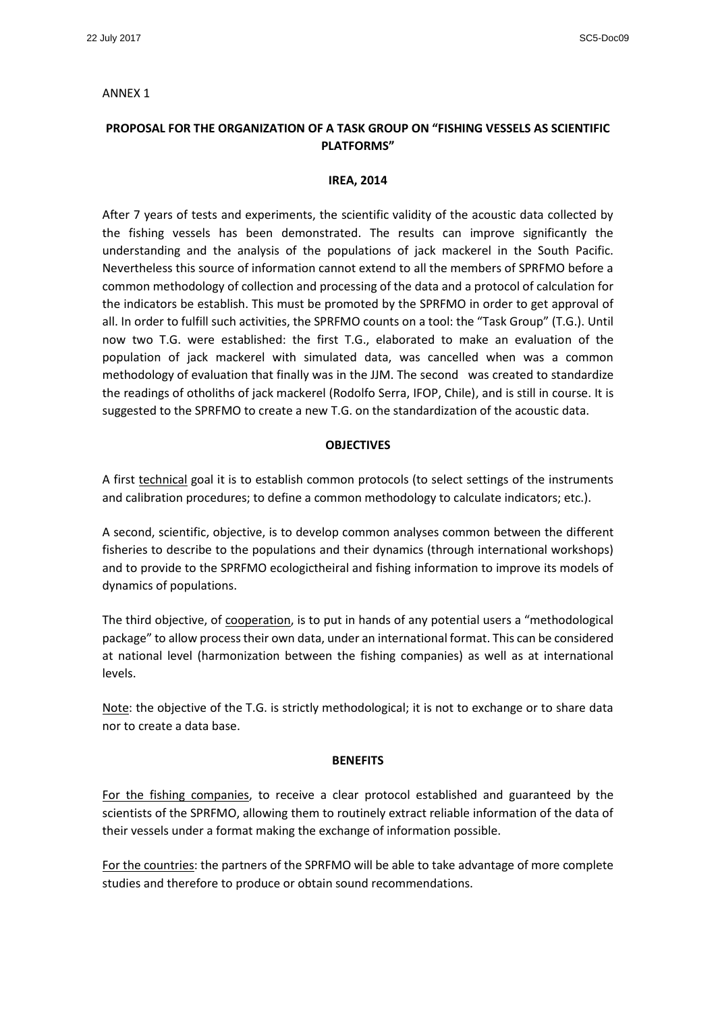#### ANNEX 1

## **PROPOSAL FOR THE ORGANIZATION OF A TASK GROUP ON "FISHING VESSELS AS SCIENTIFIC PLATFORMS"**

#### **IREA, 2014**

After 7 years of tests and experiments, the scientific validity of the acoustic data collected by the fishing vessels has been demonstrated. The results can improve significantly the understanding and the analysis of the populations of jack mackerel in the South Pacific. Nevertheless this source of information cannot extend to all the members of SPRFMO before a common methodology of collection and processing of the data and a protocol of calculation for the indicators be establish. This must be promoted by the SPRFMO in order to get approval of all. In order to fulfill such activities, the SPRFMO counts on a tool: the "Task Group" (T.G.). Until now two T.G. were established: the first T.G., elaborated to make an evaluation of the population of jack mackerel with simulated data, was cancelled when was a common methodology of evaluation that finally was in the JJM. The second was created to standardize the readings of otholiths of jack mackerel (Rodolfo Serra, IFOP, Chile), and is still in course. It is suggested to the SPRFMO to create a new T.G. on the standardization of the acoustic data.

### **OBJECTIVES**

A first technical goal it is to establish common protocols (to select settings of the instruments and calibration procedures; to define a common methodology to calculate indicators; etc.).

A second, scientific, objective, is to develop common analyses common between the different fisheries to describe to the populations and their dynamics (through international workshops) and to provide to the SPRFMO ecologictheiral and fishing information to improve its models of dynamics of populations.

The third objective, of cooperation, is to put in hands of any potential users a "methodological package" to allow process their own data, under an international format. This can be considered at national level (harmonization between the fishing companies) as well as at international levels.

Note: the objective of the T.G. is strictly methodological; it is not to exchange or to share data nor to create a data base.

### **BENEFITS**

For the fishing companies, to receive a clear protocol established and guaranteed by the scientists of the SPRFMO, allowing them to routinely extract reliable information of the data of their vessels under a format making the exchange of information possible.

For the countries: the partners of the SPRFMO will be able to take advantage of more complete studies and therefore to produce or obtain sound recommendations.